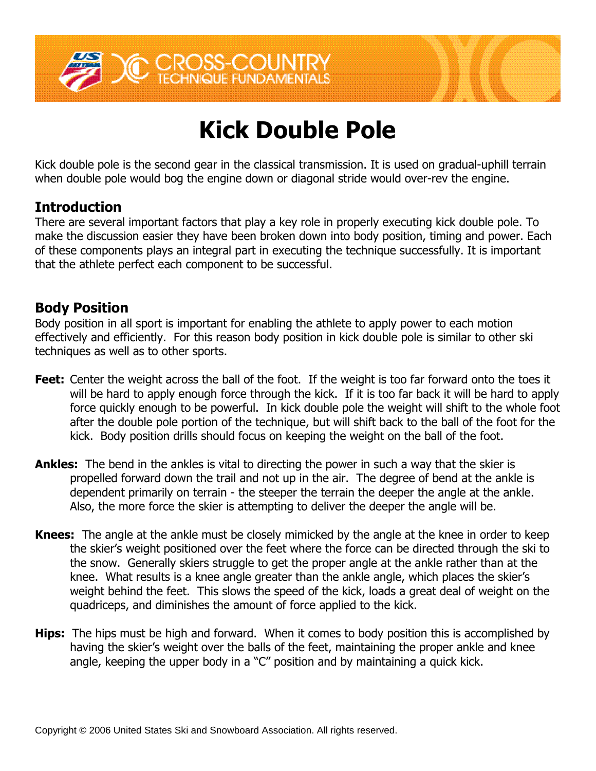

# **Kick Double Pole**

Kick double pole is the second gear in the classical transmission. It is used on gradual-uphill terrain when double pole would bog the engine down or diagonal stride would over-rev the engine.

### **Introduction**

There are several important factors that play a key role in properly executing kick double pole. To make the discussion easier they have been broken down into body position, timing and power. Each of these components plays an integral part in executing the technique successfully. It is important that the athlete perfect each component to be successful.

#### **Body Position**

Body position in all sport is important for enabling the athlete to apply power to each motion effectively and efficiently. For this reason body position in kick double pole is similar to other ski techniques as well as to other sports.

- **Feet:** Center the weight across the ball of the foot. If the weight is too far forward onto the toes it will be hard to apply enough force through the kick. If it is too far back it will be hard to apply force quickly enough to be powerful. In kick double pole the weight will shift to the whole foot after the double pole portion of the technique, but will shift back to the ball of the foot for the kick. Body position drills should focus on keeping the weight on the ball of the foot.
- **Ankles:** The bend in the ankles is vital to directing the power in such a way that the skier is propelled forward down the trail and not up in the air. The degree of bend at the ankle is dependent primarily on terrain - the steeper the terrain the deeper the angle at the ankle. Also, the more force the skier is attempting to deliver the deeper the angle will be.
- **Knees:** The angle at the ankle must be closely mimicked by the angle at the knee in order to keep the skier's weight positioned over the feet where the force can be directed through the ski to the snow. Generally skiers struggle to get the proper angle at the ankle rather than at the knee. What results is a knee angle greater than the ankle angle, which places the skier's weight behind the feet. This slows the speed of the kick, loads a great deal of weight on the quadriceps, and diminishes the amount of force applied to the kick.
- **Hips:** The hips must be high and forward. When it comes to body position this is accomplished by having the skier's weight over the balls of the feet, maintaining the proper ankle and knee angle, keeping the upper body in a "C" position and by maintaining a quick kick.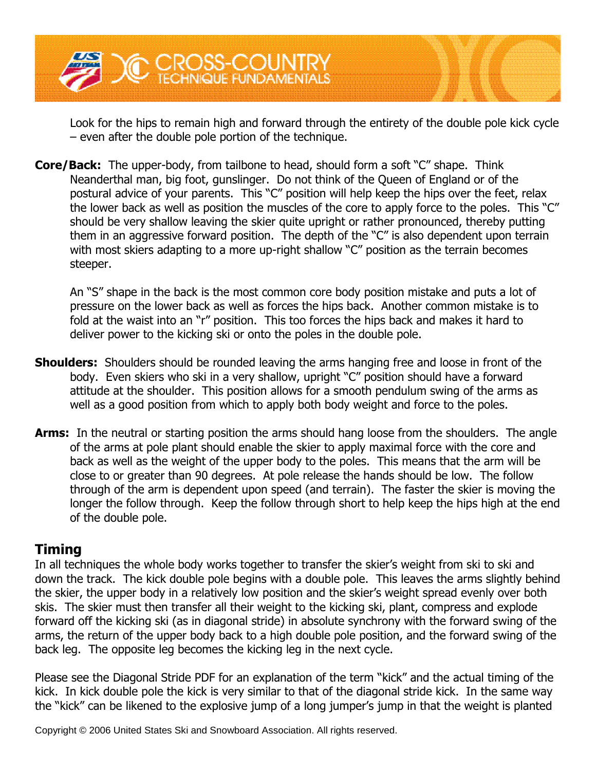

Look for the hips to remain high and forward through the entirety of the double pole kick cycle –even after the double pole portion of the technique.

**Core/Back:** The upper-body, from tailbone to head, should form a soft "C" shape. Think Neanderthal man, big foot, gunslinger. Do not think of the Queen of England or of the postural advice of your parents. This "C" position will help keep the hips over the feet, relax the lower back as well as position the muscles of the core to apply force to the poles. This " $C$ " should be very shallow leaving the skier quite upright or rather pronounced, thereby putting them in an aggressive forward position. The depth of the "C" is also dependent upon terrain with most skiers adapting to a more up-right shallow "C" position as the terrain becomes steeper.

An "S" shape in the back is the most common core body position mistake and puts a lot of pressure on the lower back as well as forces the hips back. Another common mistake is to fold at the waist into an "r" position. This too forces the hips back and makes it hard to deliver power to the kicking ski or onto the poles in the double pole.

- **Shoulders:** Shoulders should be rounded leaving the arms hanging free and loose in front of the body. Even skiers who ski in a very shallow, upright "C" position should have a forward attitude at the shoulder. This position allows for a smooth pendulum swing of the arms as well as a good position from which to apply both body weight and force to the poles.
- **Arms:** In the neutral or starting position the arms should hang loose from the shoulders. The angle of the arms at pole plant should enable the skier to apply maximal force with the core and back as well as the weight of the upper body to the poles. This means that the arm will be close to or greater than 90 degrees. At pole release the hands should be low. The follow through of the arm is dependent upon speed (and terrain). The faster the skier is moving the longer the follow through. Keep the follow through short to help keep the hips high at the end of the double pole.

#### **Timing**

In all techniques the whole body works together to transfer the skier's weight from ski to ski and down the track. The kick double pole begins with a double pole. This leaves the arms slightly behind the skier, the upper body in a relatively low position and the skier's weight spread evenly over both skis. The skier must then transfer all their weight to the kicking ski, plant, compress and explode forward off the kicking ski (as in diagonal stride) in absolute synchrony with the forward swing of the arms, the return of the upper body back to a high double pole position, and the forward swing of the back leg. The opposite leg becomes the kicking leg in the next cycle.

Please see the Diagonal Stride PDF for an explanation of the term "kick" and the actual timing of the kick. In kick double pole the kick is very similar to that of the diagonal stride kick. In the same way the "kick" can be likened to the explosive jump of a long jumper's jump in that the weight is planted

Copyright © 2006 United States Ski and Snowboard Association. All rights reserved.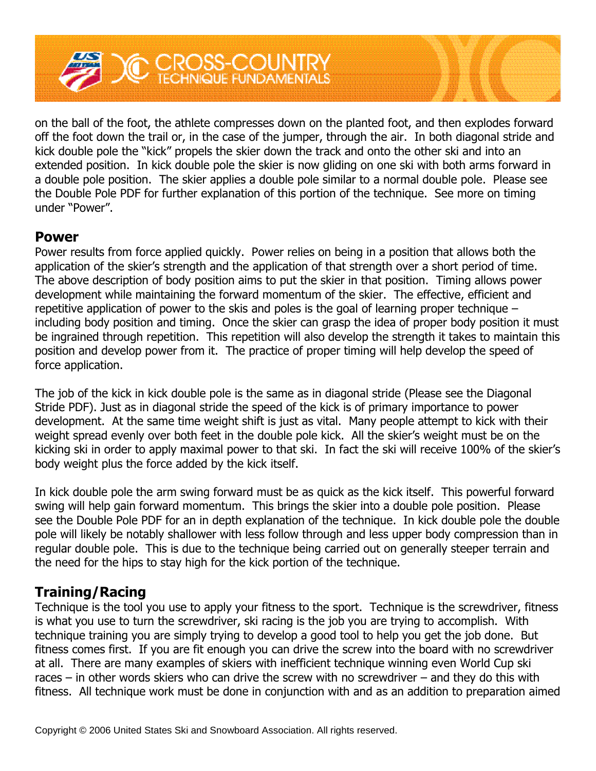

on the ball of the foot, the athlete compresses down on the planted foot, and then explodes forward off the foot down the trail or, in the case of the jumper, through the air. In both diagonal stride and kick double pole the "kick" propels the skier down the track and onto the other ski and into an extended position. In kick double pole the skier is now gliding on one ski with both arms forward in a double pole position. The skier applies a double pole similar to a normal double pole. Please see the Double Pole PDF for further explanation of this portion of the technique. See more on timing under "Power".

#### **Power**

Power results from force applied quickly. Power relies on being in a position that allows both the application of the skier's strength and the application of that strength over a short period of time. The above description of body position aims to put the skier in that position. Timing allows power development while maintaining the forward momentum of the skier. The effective, efficient and repetitive application of power to the skis and poles is the goal of learning proper technique – including body position and timing. Once the skier can grasp the idea of proper body position it must be ingrained through repetition. This repetition will also develop the strength it takes to maintain this position and develop power from it. The practice of proper timing will help develop the speed of force application.

The job of the kick in kick double pole is the same as in diagonal stride (Please see the Diagonal Stride PDF). Just as in diagonal stride the speed of the kick is of primary importance to power development. At the same time weight shift is just as vital. Many people attempt to kick with their weight spread evenly over both feet in the double pole kick. All the skier's weight must be on the kicking ski in order to apply maximal power to that ski. In fact the ski will receive 100% of the skier's body weight plus the force added by the kick itself.

In kick double pole the arm swing forward must be as quick as the kick itself. This powerful forward swing will help gain forward momentum. This brings the skier into a double pole position. Please see the Double Pole PDF for an in depth explanation of the technique. In kick double pole the double pole will likely be notably shallower with less follow through and less upper body compression than in regular double pole. This is due to the technique being carried out on generally steeper terrain and the need for the hips to stay high for the kick portion of the technique.

## **Training/Racing**

Technique is the tool you use to apply your fitness to the sport. Technique is the screwdriver, fitness is what you use to turn the screwdriver, ski racing is the job you are trying to accomplish. With technique training you are simply trying to develop a good tool to help you get the job done. But fitness comes first. If you are fit enough you can drive the screw into the board with no screwdriver at all. There are many examples of skiers with inefficient technique winning even World Cup ski races – in other words skiers who can drive the screw with no screwdriver – and they do this with fitness. All technique work must be done in conjunction with and as an addition to preparation aimed